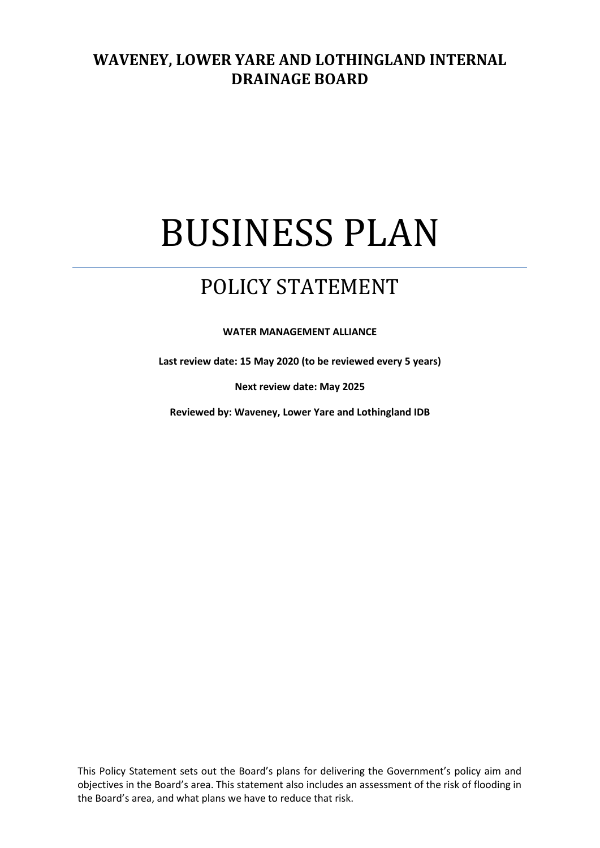### **WAVENEY, LOWER YARE AND LOTHINGLAND INTERNAL DRAINAGE BOARD**

# BUSINESS PLAN

## POLICY STATEMENT

**WATER MANAGEMENT ALLIANCE**

**Last review date: 15 May 2020 (to be reviewed every 5 years)**

**Next review date: May 2025**

**Reviewed by: Waveney, Lower Yare and Lothingland IDB**

This Policy Statement sets out the Board's plans for delivering the Government's policy aim and objectives in the Board's area. This statement also includes an assessment of the risk of flooding in the Board's area, and what plans we have to reduce that risk.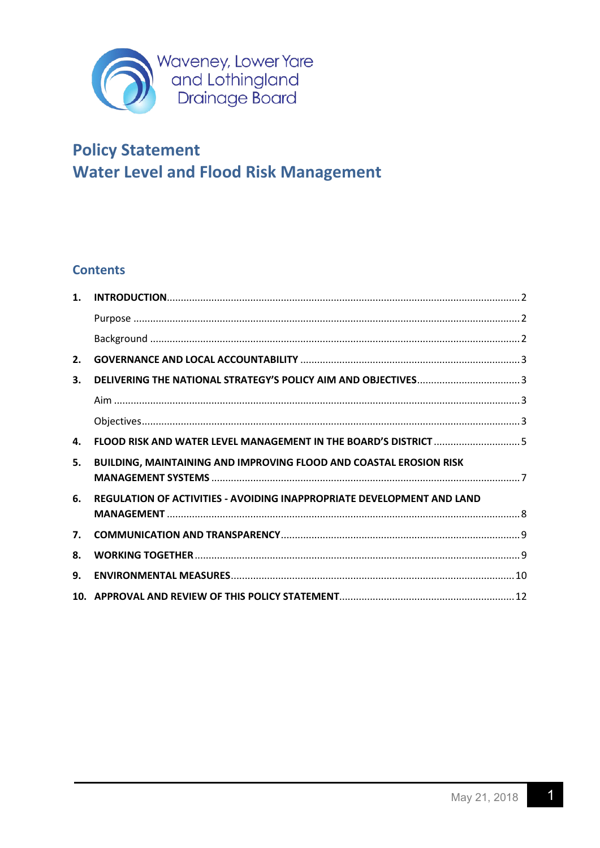

#### **Contents**

| 1.             |                                                                           |  |
|----------------|---------------------------------------------------------------------------|--|
|                |                                                                           |  |
|                |                                                                           |  |
| 2.             |                                                                           |  |
| 3.             |                                                                           |  |
|                |                                                                           |  |
|                |                                                                           |  |
| 4.             | <b>FLOOD RISK AND WATER LEVEL MANAGEMENT IN THE BOARD'S DISTRICT </b> 5   |  |
| 5.             | <b>BUILDING, MAINTAINING AND IMPROVING FLOOD AND COASTAL EROSION RISK</b> |  |
| 6.             | REGULATION OF ACTIVITIES - AVOIDING INAPPROPRIATE DEVELOPMENT AND LAND    |  |
|                |                                                                           |  |
| 7 <sub>1</sub> |                                                                           |  |
| 8.             |                                                                           |  |
| 9.             |                                                                           |  |
|                |                                                                           |  |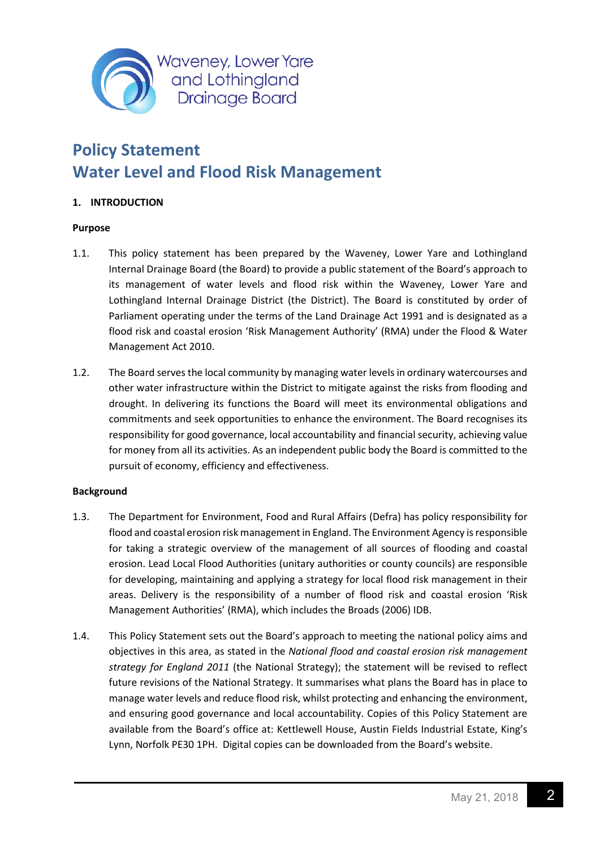

#### <span id="page-2-0"></span>**1. INTRODUCTION**

#### <span id="page-2-1"></span>**Purpose**

- 1.1. This policy statement has been prepared by the Waveney, Lower Yare and Lothingland Internal Drainage Board (the Board) to provide a public statement of the Board's approach to its management of water levels and flood risk within the Waveney, Lower Yare and Lothingland Internal Drainage District (the District). The Board is constituted by order of Parliament operating under the terms of the Land Drainage Act 1991 and is designated as a flood risk and coastal erosion 'Risk Management Authority' (RMA) under the Flood & Water Management Act 2010.
- 1.2. The Board serves the local community by managing water levels in ordinary watercourses and other water infrastructure within the District to mitigate against the risks from flooding and drought. In delivering its functions the Board will meet its environmental obligations and commitments and seek opportunities to enhance the environment. The Board recognises its responsibility for good governance, local accountability and financial security, achieving value for money from all its activities. As an independent public body the Board is committed to the pursuit of economy, efficiency and effectiveness.

#### <span id="page-2-2"></span>**Background**

- 1.3. The Department for Environment, Food and Rural Affairs (Defra) has policy responsibility for flood and coastal erosion risk management in England. The Environment Agency is responsible for taking a strategic overview of the management of all sources of flooding and coastal erosion. Lead Local Flood Authorities (unitary authorities or county councils) are responsible for developing, maintaining and applying a strategy for local flood risk management in their areas. Delivery is the responsibility of a number of flood risk and coastal erosion 'Risk Management Authorities' (RMA), which includes the Broads (2006) IDB.
- 1.4. This Policy Statement sets out the Board's approach to meeting the national policy aims and objectives in this area, as stated in the *National flood and coastal erosion risk management strategy for England 2011* (the National Strategy); the statement will be revised to reflect future revisions of the National Strategy. It summarises what plans the Board has in place to manage water levels and reduce flood risk, whilst protecting and enhancing the environment, and ensuring good governance and local accountability. Copies of this Policy Statement are available from the Board's office at: Kettlewell House, Austin Fields Industrial Estate, King's Lynn, Norfolk PE30 1PH. Digital copies can be downloaded from the Board's website.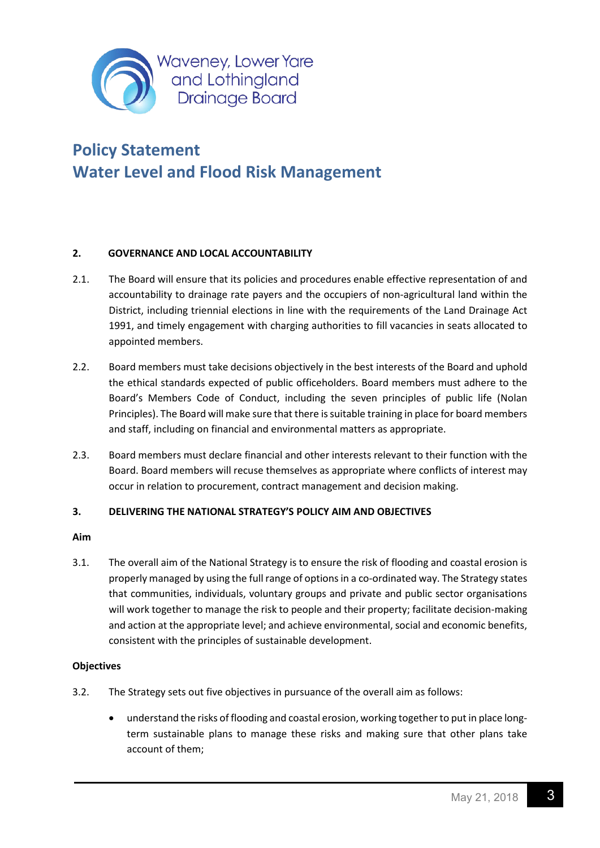

#### <span id="page-3-0"></span>**2. GOVERNANCE AND LOCAL ACCOUNTABILITY**

- 2.1. The Board will ensure that its policies and procedures enable effective representation of and accountability to drainage rate payers and the occupiers of non-agricultural land within the District, including triennial elections in line with the requirements of the Land Drainage Act 1991, and timely engagement with charging authorities to fill vacancies in seats allocated to appointed members.
- 2.2. Board members must take decisions objectively in the best interests of the Board and uphold the ethical standards expected of public officeholders. Board members must adhere to the Board's Members Code of Conduct, including the seven principles of public life (Nolan Principles). The Board will make sure that there is suitable training in place for board members and staff, including on financial and environmental matters as appropriate.
- 2.3. Board members must declare financial and other interests relevant to their function with the Board. Board members will recuse themselves as appropriate where conflicts of interest may occur in relation to procurement, contract management and decision making.

#### <span id="page-3-1"></span>**3. DELIVERING THE NATIONAL STRATEGY'S POLICY AIM AND OBJECTIVES**

#### <span id="page-3-2"></span>**Aim**

3.1. The overall aim of the National Strategy is to ensure the risk of flooding and coastal erosion is properly managed by using the full range of options in a co-ordinated way. The Strategy states that communities, individuals, voluntary groups and private and public sector organisations will work together to manage the risk to people and their property; facilitate decision-making and action at the appropriate level; and achieve environmental, social and economic benefits, consistent with the principles of sustainable development.

#### <span id="page-3-3"></span>**Objectives**

- 3.2. The Strategy sets out five objectives in pursuance of the overall aim as follows:
	- understand the risks of flooding and coastal erosion, working together to put in place longterm sustainable plans to manage these risks and making sure that other plans take account of them;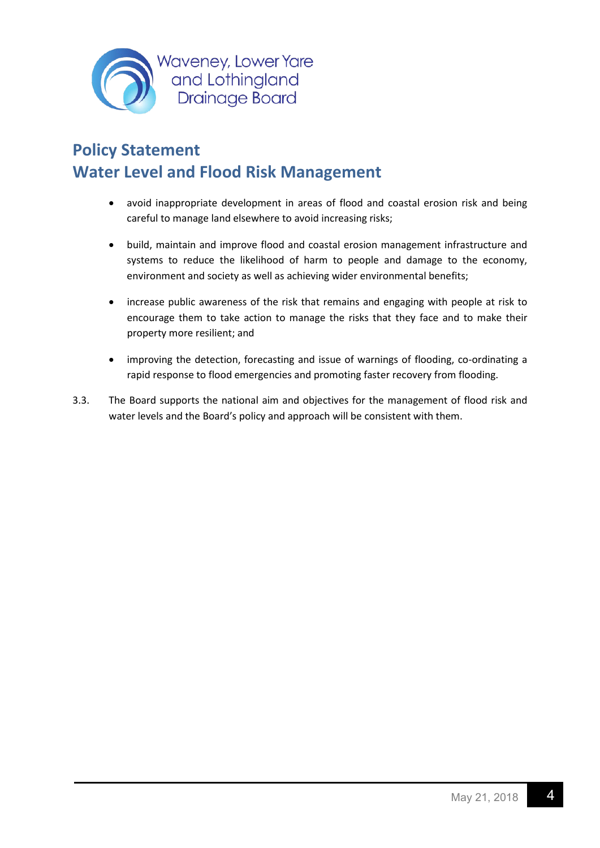

- avoid inappropriate development in areas of flood and coastal erosion risk and being careful to manage land elsewhere to avoid increasing risks;
- build, maintain and improve flood and coastal erosion management infrastructure and systems to reduce the likelihood of harm to people and damage to the economy, environment and society as well as achieving wider environmental benefits;
- increase public awareness of the risk that remains and engaging with people at risk to encourage them to take action to manage the risks that they face and to make their property more resilient; and
- improving the detection, forecasting and issue of warnings of flooding, co-ordinating a rapid response to flood emergencies and promoting faster recovery from flooding.
- 3.3. The Board supports the national aim and objectives for the management of flood risk and water levels and the Board's policy and approach will be consistent with them.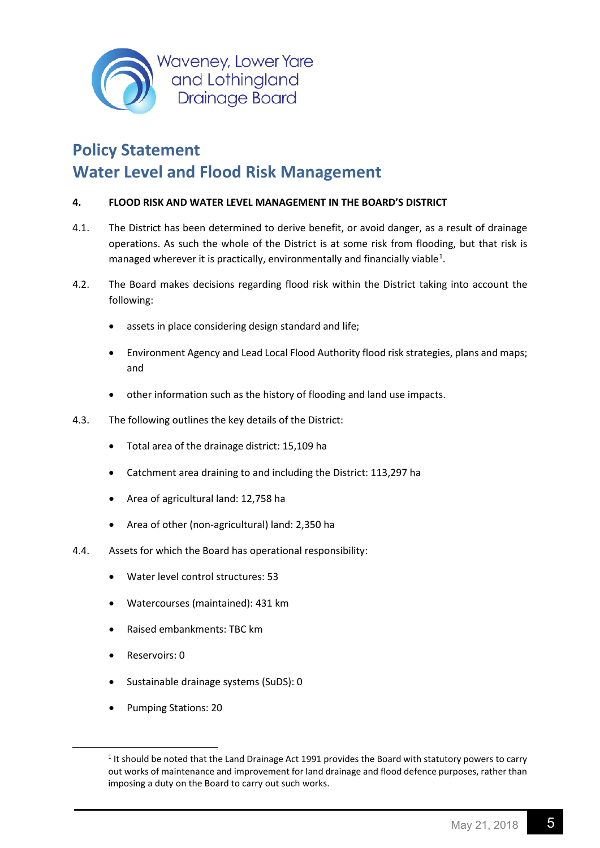

#### <span id="page-5-0"></span>**4. FLOOD RISK AND WATER LEVEL MANAGEMENT IN THE BOARD'S DISTRICT**

- 4.1. The District has been determined to derive benefit, or avoid danger, as a result of drainage operations. As such the whole of the District is at some risk from flooding, but that risk is managed wherever it is practically, environmentally and financially viable<sup>[1](#page-5-1)</sup>.
- 4.2. The Board makes decisions regarding flood risk within the District taking into account the following:
	- assets in place considering design standard and life;
	- Environment Agency and Lead Local Flood Authority flood risk strategies, plans and maps; and
	- other information such as the history of flooding and land use impacts.
- 4.3. The following outlines the key details of the District:
	- Total area of the drainage district: 15,109 ha
	- Catchment area draining to and including the District: 113,297 ha
	- Area of agricultural land: 12,758 ha
	- Area of other (non-agricultural) land: 2,350 ha
- 4.4. Assets for which the Board has operational responsibility:
	- Water level control structures: 53
	- Watercourses (maintained): 431 km
	- Raised embankments: TBC km
	- Reservoirs: 0
	- Sustainable drainage systems (SuDS): 0
	- Pumping Stations: 20

<span id="page-5-1"></span><sup>&</sup>lt;sup>1</sup> It should be noted that the Land Drainage Act 1991 provides the Board with statutory powers to carry out works of maintenance and improvement for land drainage and flood defence purposes, rather than imposing a duty on the Board to carry out such works.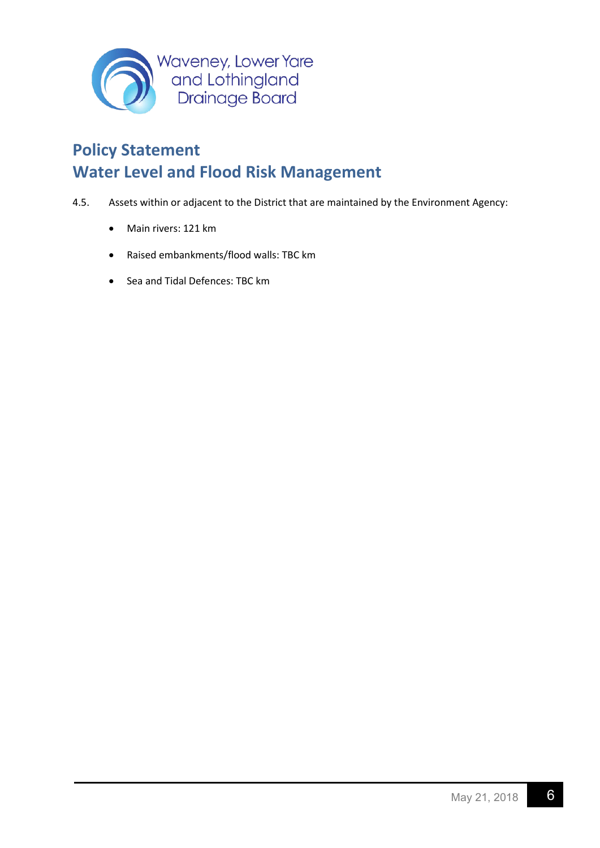

- 4.5. Assets within or adjacent to the District that are maintained by the Environment Agency:
	- Main rivers: 121 km
	- Raised embankments/flood walls: TBC km
	- Sea and Tidal Defences: TBC km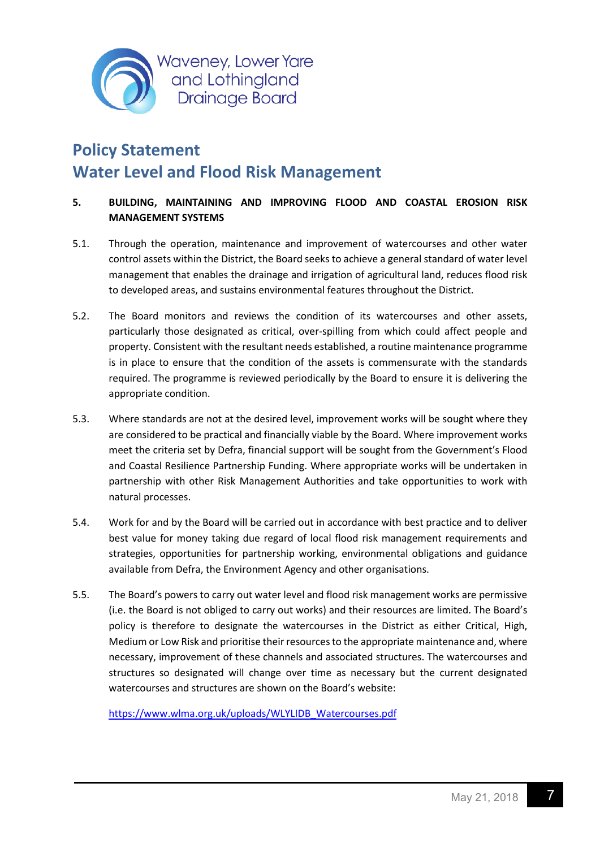

#### <span id="page-7-0"></span>**5. BUILDING, MAINTAINING AND IMPROVING FLOOD AND COASTAL EROSION RISK MANAGEMENT SYSTEMS**

- 5.1. Through the operation, maintenance and improvement of watercourses and other water control assets within the District, the Board seeks to achieve a general standard of water level management that enables the drainage and irrigation of agricultural land, reduces flood risk to developed areas, and sustains environmental features throughout the District.
- 5.2. The Board monitors and reviews the condition of its watercourses and other assets, particularly those designated as critical, over-spilling from which could affect people and property. Consistent with the resultant needs established, a routine maintenance programme is in place to ensure that the condition of the assets is commensurate with the standards required. The programme is reviewed periodically by the Board to ensure it is delivering the appropriate condition.
- 5.3. Where standards are not at the desired level, improvement works will be sought where they are considered to be practical and financially viable by the Board. Where improvement works meet the criteria set by Defra, financial support will be sought from the Government's Flood and Coastal Resilience Partnership Funding. Where appropriate works will be undertaken in partnership with other Risk Management Authorities and take opportunities to work with natural processes.
- 5.4. Work for and by the Board will be carried out in accordance with best practice and to deliver best value for money taking due regard of local flood risk management requirements and strategies, opportunities for partnership working, environmental obligations and guidance available from Defra, the Environment Agency and other organisations.
- 5.5. The Board's powers to carry out water level and flood risk management works are permissive (i.e. the Board is not obliged to carry out works) and their resources are limited. The Board's policy is therefore to designate the watercourses in the District as either Critical, High, Medium or Low Risk and prioritise their resources to the appropriate maintenance and, where necessary, improvement of these channels and associated structures. The watercourses and structures so designated will change over time as necessary but the current designated watercourses and structures are shown on the Board's website:

[https://www.wlma.org.uk/uploads/WLYLIDB\\_Watercourses.pdf](https://www.wlma.org.uk/uploads/WLYLIDB_Watercourses.pdf)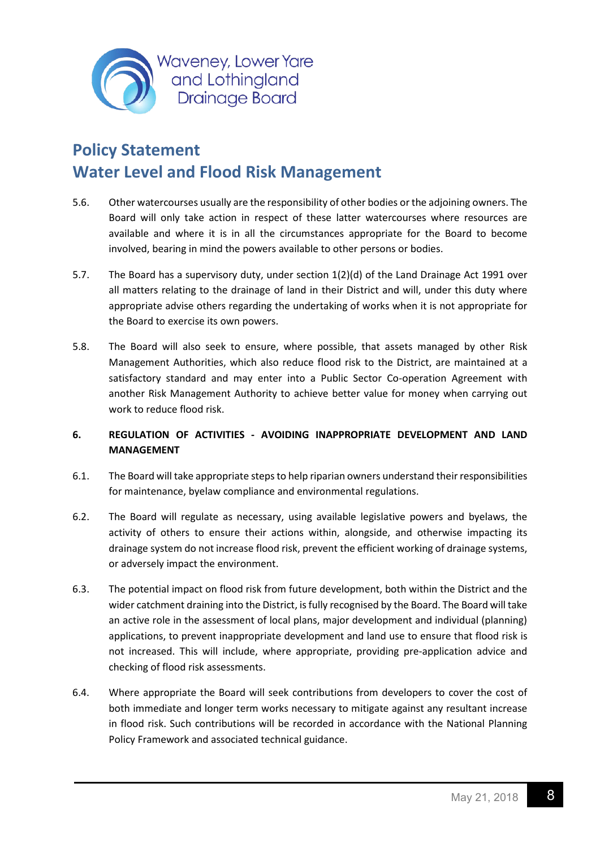

- 5.6. Other watercourses usually are the responsibility of other bodies or the adjoining owners. The Board will only take action in respect of these latter watercourses where resources are available and where it is in all the circumstances appropriate for the Board to become involved, bearing in mind the powers available to other persons or bodies.
- 5.7. The Board has a supervisory duty, under section 1(2)(d) of the Land Drainage Act 1991 over all matters relating to the drainage of land in their District and will, under this duty where appropriate advise others regarding the undertaking of works when it is not appropriate for the Board to exercise its own powers.
- 5.8. The Board will also seek to ensure, where possible, that assets managed by other Risk Management Authorities, which also reduce flood risk to the District, are maintained at a satisfactory standard and may enter into a Public Sector Co-operation Agreement with another Risk Management Authority to achieve better value for money when carrying out work to reduce flood risk.

#### <span id="page-8-0"></span>**6. REGULATION OF ACTIVITIES - AVOIDING INAPPROPRIATE DEVELOPMENT AND LAND MANAGEMENT**

- 6.1. The Board will take appropriate steps to help riparian owners understand their responsibilities for maintenance, byelaw compliance and environmental regulations.
- 6.2. The Board will regulate as necessary, using available legislative powers and byelaws, the activity of others to ensure their actions within, alongside, and otherwise impacting its drainage system do not increase flood risk, prevent the efficient working of drainage systems, or adversely impact the environment.
- 6.3. The potential impact on flood risk from future development, both within the District and the wider catchment draining into the District, is fully recognised by the Board. The Board will take an active role in the assessment of local plans, major development and individual (planning) applications, to prevent inappropriate development and land use to ensure that flood risk is not increased. This will include, where appropriate, providing pre-application advice and checking of flood risk assessments.
- 6.4. Where appropriate the Board will seek contributions from developers to cover the cost of both immediate and longer term works necessary to mitigate against any resultant increase in flood risk. Such contributions will be recorded in accordance with the National Planning Policy Framework and associated technical guidance.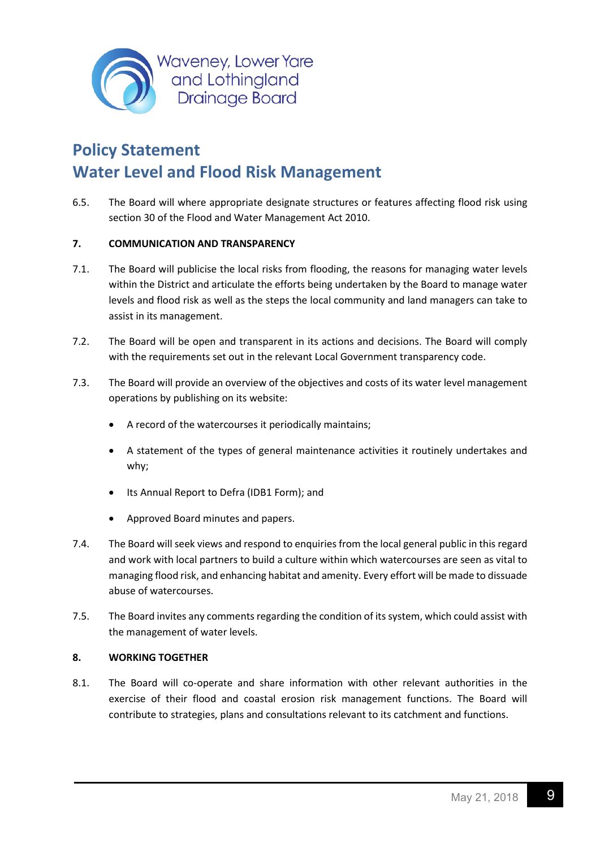

6.5. The Board will where appropriate designate structures or features affecting flood risk using section 30 of the Flood and Water Management Act 2010.

#### <span id="page-9-0"></span>**7. COMMUNICATION AND TRANSPARENCY**

- 7.1. The Board will publicise the local risks from flooding, the reasons for managing water levels within the District and articulate the efforts being undertaken by the Board to manage water levels and flood risk as well as the steps the local community and land managers can take to assist in its management.
- 7.2. The Board will be open and transparent in its actions and decisions. The Board will comply with the requirements set out in the relevant Local Government transparency code.
- 7.3. The Board will provide an overview of the objectives and costs of its water level management operations by publishing on its website:
	- A record of the watercourses it periodically maintains;
	- A statement of the types of general maintenance activities it routinely undertakes and why;
	- Its Annual Report to Defra (IDB1 Form); and
	- Approved Board minutes and papers.
- 7.4. The Board will seek views and respond to enquiries from the local general public in this regard and work with local partners to build a culture within which watercourses are seen as vital to managing flood risk, and enhancing habitat and amenity. Every effort will be made to dissuade abuse of watercourses.
- 7.5. The Board invites any comments regarding the condition of its system, which could assist with the management of water levels.

#### <span id="page-9-1"></span>**8. WORKING TOGETHER**

8.1. The Board will co-operate and share information with other relevant authorities in the exercise of their flood and coastal erosion risk management functions. The Board will contribute to strategies, plans and consultations relevant to its catchment and functions.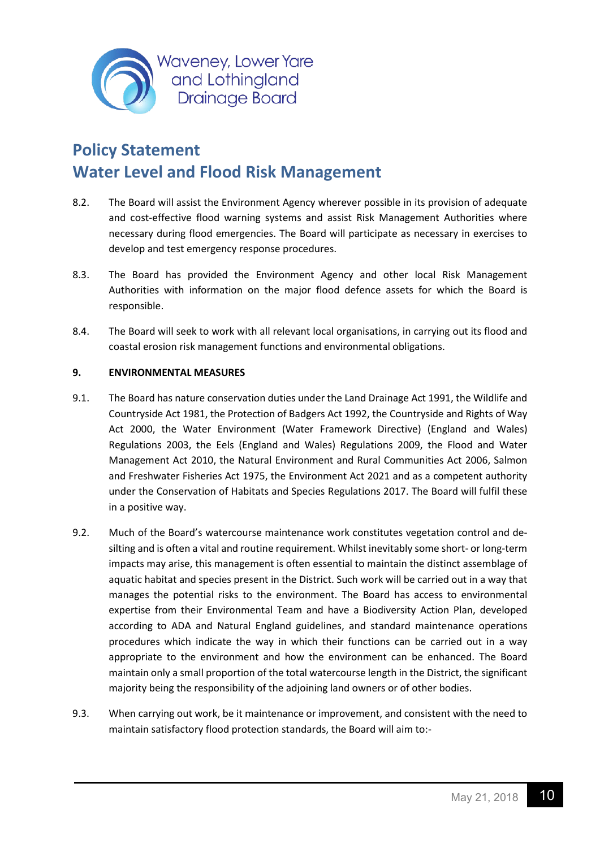

- 8.2. The Board will assist the Environment Agency wherever possible in its provision of adequate and cost-effective flood warning systems and assist Risk Management Authorities where necessary during flood emergencies. The Board will participate as necessary in exercises to develop and test emergency response procedures.
- 8.3. The Board has provided the Environment Agency and other local Risk Management Authorities with information on the major flood defence assets for which the Board is responsible.
- 8.4. The Board will seek to work with all relevant local organisations, in carrying out its flood and coastal erosion risk management functions and environmental obligations.

#### <span id="page-10-0"></span>**9. ENVIRONMENTAL MEASURES**

- 9.1. The Board has nature conservation duties under the Land Drainage Act 1991, the Wildlife and Countryside Act 1981, the Protection of Badgers Act 1992, the Countryside and Rights of Way Act 2000, the Water Environment (Water Framework Directive) (England and Wales) Regulations 2003, the Eels (England and Wales) Regulations 2009, the Flood and Water Management Act 2010, the Natural Environment and Rural Communities Act 2006, Salmon and Freshwater Fisheries Act 1975, the Environment Act 2021 and as a competent authority under the Conservation of Habitats and Species Regulations 2017. The Board will fulfil these in a positive way.
- 9.2. Much of the Board's watercourse maintenance work constitutes vegetation control and desilting and is often a vital and routine requirement. Whilst inevitably some short- or long-term impacts may arise, this management is often essential to maintain the distinct assemblage of aquatic habitat and species present in the District. Such work will be carried out in a way that manages the potential risks to the environment. The Board has access to environmental expertise from their Environmental Team and have a Biodiversity Action Plan, developed according to ADA and Natural England guidelines, and standard maintenance operations procedures which indicate the way in which their functions can be carried out in a way appropriate to the environment and how the environment can be enhanced. The Board maintain only a small proportion of the total watercourse length in the District, the significant majority being the responsibility of the adjoining land owners or of other bodies.
- 9.3. When carrying out work, be it maintenance or improvement, and consistent with the need to maintain satisfactory flood protection standards, the Board will aim to:-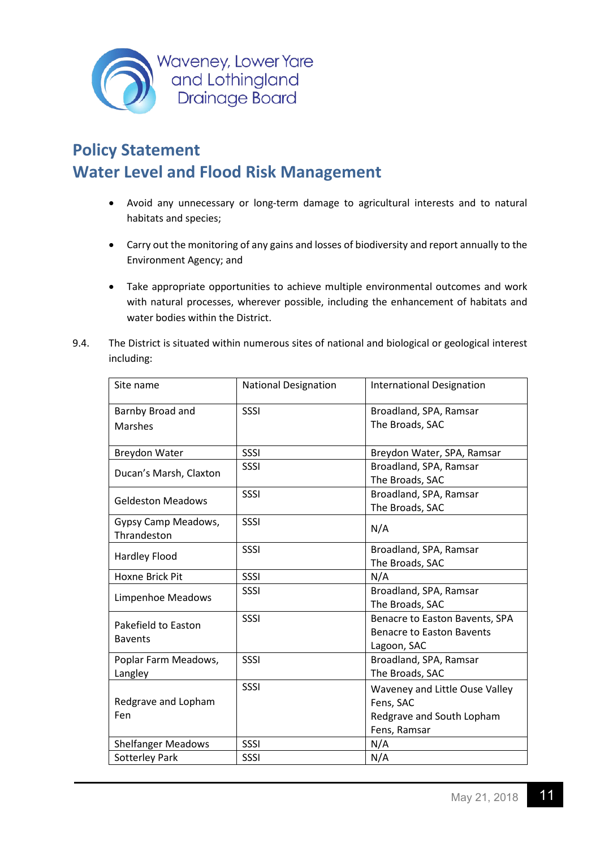

- Avoid any unnecessary or long-term damage to agricultural interests and to natural habitats and species;
- Carry out the monitoring of any gains and losses of biodiversity and report annually to the Environment Agency; and
- Take appropriate opportunities to achieve multiple environmental outcomes and work with natural processes, wherever possible, including the enhancement of habitats and water bodies within the District.
- 9.4. The District is situated within numerous sites of national and biological or geological interest including:

| Site name                          | <b>National Designation</b> | <b>International Designation</b>                |
|------------------------------------|-----------------------------|-------------------------------------------------|
| Barnby Broad and                   | <b>SSSI</b>                 | Broadland, SPA, Ramsar                          |
| <b>Marshes</b>                     |                             | The Broads, SAC                                 |
| Breydon Water                      | SSSI                        | Breydon Water, SPA, Ramsar                      |
| Ducan's Marsh, Claxton             | <b>SSSI</b>                 | Broadland, SPA, Ramsar<br>The Broads, SAC       |
| <b>Geldeston Meadows</b>           | <b>SSSI</b>                 | Broadland, SPA, Ramsar<br>The Broads, SAC       |
| Gypsy Camp Meadows,<br>Thrandeston | <b>SSSI</b>                 | N/A                                             |
| <b>Hardley Flood</b>               | SSSI                        | Broadland, SPA, Ramsar<br>The Broads, SAC       |
| Hoxne Brick Pit                    | <b>SSSI</b>                 | N/A                                             |
| Limpenhoe Meadows                  | SSSI                        | Broadland, SPA, Ramsar                          |
|                                    |                             | The Broads, SAC                                 |
| Pakefield to Easton                | <b>SSSI</b>                 | Benacre to Easton Bavents, SPA                  |
| <b>Bavents</b>                     |                             | <b>Benacre to Easton Bavents</b><br>Lagoon, SAC |
| Poplar Farm Meadows,               | <b>SSSI</b>                 | Broadland, SPA, Ramsar                          |
| Langley                            |                             | The Broads, SAC                                 |
|                                    | SSSI                        | Waveney and Little Ouse Valley                  |
| Redgrave and Lopham                |                             | Fens, SAC                                       |
| Fen                                |                             | Redgrave and South Lopham                       |
|                                    |                             | Fens, Ramsar                                    |
| <b>Shelfanger Meadows</b>          | <b>SSSI</b>                 | N/A                                             |
| <b>Sotterley Park</b>              | SSSI                        | N/A                                             |